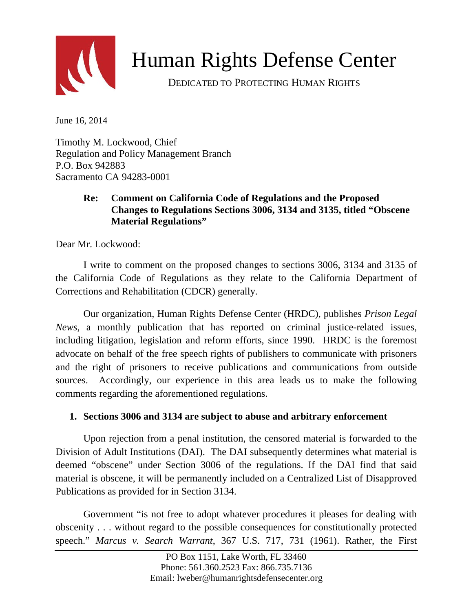

# Human Rights Defense Center

DEDICATED TO PROTECTING HUMAN RIGHTS

June 16, 2014

Timothy M. Lockwood, Chief Regulation and Policy Management Branch P.O. Box 942883 Sacramento CA 94283-0001

## **Re: Comment on California Code of Regulations and the Proposed Changes to Regulations Sections 3006, 3134 and 3135, titled "Obscene Material Regulations"**

Dear Mr. Lockwood:

I write to comment on the proposed changes to sections 3006, 3134 and 3135 of the California Code of Regulations as they relate to the California Department of Corrections and Rehabilitation (CDCR) generally.

Our organization, Human Rights Defense Center (HRDC), publishes *Prison Legal News*, a monthly publication that has reported on criminal justice-related issues, including litigation, legislation and reform efforts, since 1990. HRDC is the foremost advocate on behalf of the free speech rights of publishers to communicate with prisoners and the right of prisoners to receive publications and communications from outside sources. Accordingly, our experience in this area leads us to make the following comments regarding the aforementioned regulations.

#### **1. Sections 3006 and 3134 are subject to abuse and arbitrary enforcement**

Upon rejection from a penal institution, the censored material is forwarded to the Division of Adult Institutions (DAI). The DAI subsequently determines what material is deemed "obscene" under Section 3006 of the regulations. If the DAI find that said material is obscene, it will be permanently included on a Centralized List of Disapproved Publications as provided for in Section 3134.

Government "is not free to adopt whatever procedures it pleases for dealing with obscenity . . . without regard to the possible consequences for constitutionally protected speech." *Marcus v. Search Warrant*, 367 U.S. 717, 731 (1961). Rather, the First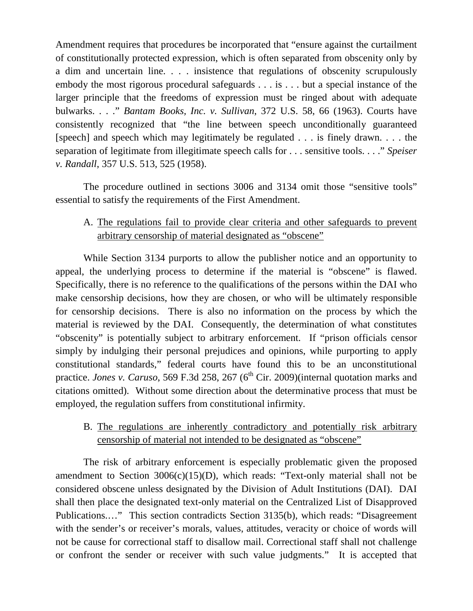Amendment requires that procedures be incorporated that "ensure against the curtailment of constitutionally protected expression, which is often separated from obscenity only by a dim and uncertain line. . . . insistence that regulations of obscenity scrupulously embody the most rigorous procedural safeguards . . . is . . . but a special instance of the larger principle that the freedoms of expression must be ringed about with adequate bulwarks. . . ." *Bantam Books, Inc. v. Sullivan*, 372 U.S. 58, 66 (1963). Courts have consistently recognized that "the line between speech unconditionally guaranteed [speech] and speech which may legitimately be regulated . . . is finely drawn. . . . the separation of legitimate from illegitimate speech calls for . . . sensitive tools. . . ." *Speiser v. Randall*, 357 U.S. 513, 525 (1958).

The procedure outlined in sections 3006 and 3134 omit those "sensitive tools" essential to satisfy the requirements of the First Amendment.

## A. The regulations fail to provide clear criteria and other safeguards to prevent arbitrary censorship of material designated as "obscene"

While Section 3134 purports to allow the publisher notice and an opportunity to appeal, the underlying process to determine if the material is "obscene" is flawed. Specifically, there is no reference to the qualifications of the persons within the DAI who make censorship decisions, how they are chosen, or who will be ultimately responsible for censorship decisions. There is also no information on the process by which the material is reviewed by the DAI. Consequently, the determination of what constitutes "obscenity" is potentially subject to arbitrary enforcement. If "prison officials censor simply by indulging their personal prejudices and opinions, while purporting to apply constitutional standards," federal courts have found this to be an unconstitutional practice. *Jones v. Caruso*, 569 F.3d 258, 267 (6<sup>th</sup> Cir. 2009)(internal quotation marks and citations omitted). Without some direction about the determinative process that must be employed, the regulation suffers from constitutional infirmity.

#### B. The regulations are inherently contradictory and potentially risk arbitrary censorship of material not intended to be designated as "obscene"

The risk of arbitrary enforcement is especially problematic given the proposed amendment to Section  $3006(c)(15)(D)$ , which reads: "Text-only material shall not be considered obscene unless designated by the Division of Adult Institutions (DAI). DAI shall then place the designated text-only material on the Centralized List of Disapproved Publications.…" This section contradicts Section 3135(b), which reads: "Disagreement with the sender's or receiver's morals, values, attitudes, veracity or choice of words will not be cause for correctional staff to disallow mail. Correctional staff shall not challenge or confront the sender or receiver with such value judgments." It is accepted that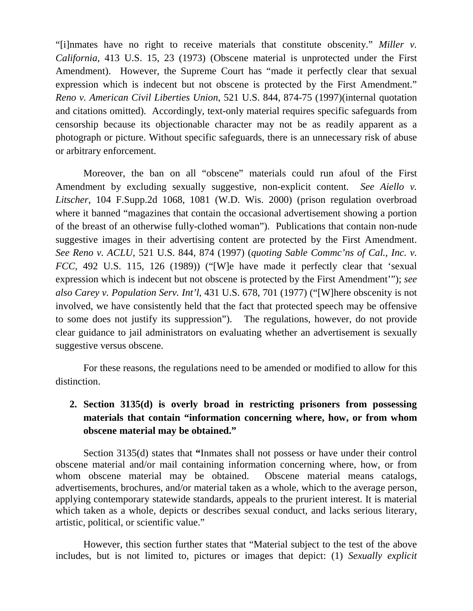"[i]nmates have no right to receive materials that constitute obscenity." *Miller v. California*, 413 U.S. 15, 23 (1973) (Obscene material is unprotected under the First Amendment). However, the Supreme Court has "made it perfectly clear that sexual expression which is indecent but not obscene is protected by the First Amendment." *Reno v. American Civil Liberties Union*, 521 U.S. 844, 874-75 (1997)(internal quotation and citations omitted). Accordingly, text-only material requires specific safeguards from censorship because its objectionable character may not be as readily apparent as a photograph or picture. Without specific safeguards, there is an unnecessary risk of abuse or arbitrary enforcement.

Moreover, the ban on all "obscene" materials could run afoul of the First Amendment by excluding sexually suggestive, non-explicit content. *See Aiello v. Litscher*, 104 F.Supp.2d 1068, 1081 (W.D. Wis. 2000) (prison regulation overbroad where it banned "magazines that contain the occasional advertisement showing a portion of the breast of an otherwise fully-clothed woman"). Publications that contain non-nude suggestive images in their advertising content are protected by the First Amendment. *See Reno v. ACLU*, 521 U.S. 844, 874 (1997) (*quoting Sable Commc'ns of Cal., Inc. v. FCC*, 492 U.S. 115, 126 (1989)) ("[W]e have made it perfectly clear that 'sexual expression which is indecent but not obscene is protected by the First Amendment'"); *see also Carey v. Population Serv. Int'l*, 431 U.S. 678, 701 (1977) ("[W]here obscenity is not involved, we have consistently held that the fact that protected speech may be offensive to some does not justify its suppression"). The regulations, however, do not provide clear guidance to jail administrators on evaluating whether an advertisement is sexually suggestive versus obscene.

For these reasons, the regulations need to be amended or modified to allow for this distinction.

# **2. Section 3135(d) is overly broad in restricting prisoners from possessing materials that contain "information concerning where, how, or from whom obscene material may be obtained."**

Section 3135(d) states that **"**Inmates shall not possess or have under their control obscene material and/or mail containing information concerning where, how, or from whom obscene material may be obtained. Obscene material means catalogs, advertisements, brochures, and/or material taken as a whole, which to the average person, applying contemporary statewide standards, appeals to the prurient interest. It is material which taken as a whole, depicts or describes sexual conduct, and lacks serious literary, artistic, political, or scientific value."

However, this section further states that "Material subject to the test of the above includes, but is not limited to, pictures or images that depict: (1) *Sexually explicit*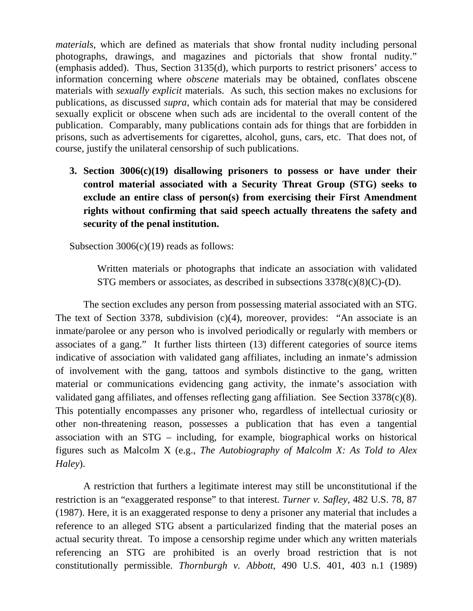*materials*, which are defined as materials that show frontal nudity including personal photographs, drawings, and magazines and pictorials that show frontal nudity." (emphasis added). Thus, Section 3135(d), which purports to restrict prisoners' access to information concerning where *obscene* materials may be obtained, conflates obscene materials with *sexually explicit* materials. As such, this section makes no exclusions for publications, as discussed *supra*, which contain ads for material that may be considered sexually explicit or obscene when such ads are incidental to the overall content of the publication. Comparably, many publications contain ads for things that are forbidden in prisons, such as advertisements for cigarettes, alcohol, guns, cars, etc. That does not, of course, justify the unilateral censorship of such publications.

**3. Section 3006(c)(19) disallowing prisoners to possess or have under their control material associated with a Security Threat Group (STG) seeks to exclude an entire class of person(s) from exercising their First Amendment rights without confirming that said speech actually threatens the safety and security of the penal institution.**

Subsection 3006(c)(19) reads as follows:

Written materials or photographs that indicate an association with validated STG members or associates, as described in subsections  $3378(c)(8)(C)$ -(D).

The section excludes any person from possessing material associated with an STG. The text of Section 3378, subdivision (c)(4), moreover, provides: "An associate is an inmate/parolee or any person who is involved periodically or regularly with members or associates of a gang." It further lists thirteen (13) different categories of source items indicative of association with validated gang affiliates, including an inmate's admission of involvement with the gang, tattoos and symbols distinctive to the gang, written material or communications evidencing gang activity, the inmate's association with validated gang affiliates, and offenses reflecting gang affiliation. See Section 3378(c)(8). This potentially encompasses any prisoner who, regardless of intellectual curiosity or other non-threatening reason, possesses a publication that has even a tangential association with an STG – including, for example, biographical works on historical figures such as Malcolm X (e.g., *The Autobiography of Malcolm X: As Told to Alex Haley*).

A restriction that furthers a legitimate interest may still be unconstitutional if the restriction is an "exaggerated response" to that interest. *Turner v. Safley*, 482 U.S. 78, 87 (1987). Here, it is an exaggerated response to deny a prisoner any material that includes a reference to an alleged STG absent a particularized finding that the material poses an actual security threat. To impose a censorship regime under which any written materials referencing an STG are prohibited is an overly broad restriction that is not constitutionally permissible. *Thornburgh v. Abbott*, 490 U.S. 401, 403 n.1 (1989)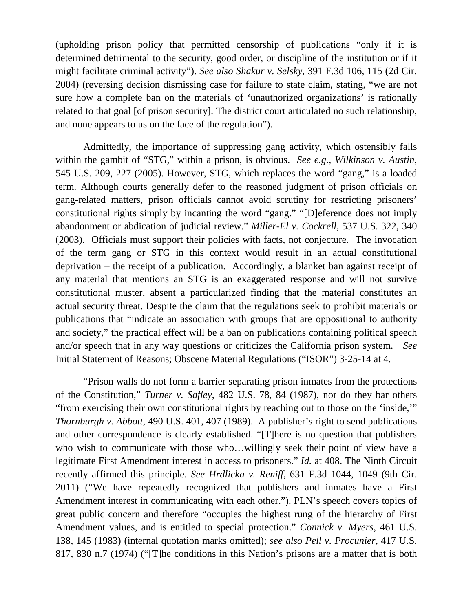(upholding prison policy that permitted censorship of publications "only if it is determined detrimental to the security, good order, or discipline of the institution or if it might facilitate criminal activity"). *See also Shakur v. Selsky*, 391 F.3d 106, 115 (2d Cir. 2004) (reversing decision dismissing case for failure to state claim, stating, "we are not sure how a complete ban on the materials of 'unauthorized organizations' is rationally related to that goal [of prison security]. The district court articulated no such relationship, and none appears to us on the face of the regulation").

Admittedly, the importance of suppressing gang activity, which ostensibly falls within the gambit of "STG," within a prison, is obvious. *See e.g., Wilkinson v. Austin*, 545 U.S. 209, 227 (2005). However, STG, which replaces the word "gang," is a loaded term. Although courts generally defer to the reasoned judgment of prison officials on gang-related matters, prison officials cannot avoid scrutiny for restricting prisoners' constitutional rights simply by incanting the word "gang." "[D]eference does not imply abandonment or abdication of judicial review." *Miller-El v. Cockrell*, 537 U.S. 322, 340 (2003). Officials must support their policies with facts, not conjecture. The invocation of the term gang or STG in this context would result in an actual constitutional deprivation – the receipt of a publication. Accordingly, a blanket ban against receipt of any material that mentions an STG is an exaggerated response and will not survive constitutional muster, absent a particularized finding that the material constitutes an actual security threat. Despite the claim that the regulations seek to prohibit materials or publications that "indicate an association with groups that are oppositional to authority and society," the practical effect will be a ban on publications containing political speech and/or speech that in any way questions or criticizes the California prison system. *See*  Initial Statement of Reasons; Obscene Material Regulations ("ISOR") 3-25-14 at 4.

"Prison walls do not form a barrier separating prison inmates from the protections of the Constitution," *Turner v. Safley*, 482 U.S. 78, 84 (1987), nor do they bar others "from exercising their own constitutional rights by reaching out to those on the 'inside,'" *Thornburgh v. Abbott*, 490 U.S. 401, 407 (1989). A publisher's right to send publications and other correspondence is clearly established. "[T]here is no question that publishers who wish to communicate with those who…willingly seek their point of view have a legitimate First Amendment interest in access to prisoners." *Id.* at 408. The Ninth Circuit recently affirmed this principle. *See Hrdlicka v. Reniff*, 631 F.3d 1044, 1049 (9th Cir. 2011) ("We have repeatedly recognized that publishers and inmates have a First Amendment interest in communicating with each other."). PLN's speech covers topics of great public concern and therefore "occupies the highest rung of the hierarchy of First Amendment values, and is entitled to special protection." *Connick v. Myers*, 461 U.S. 138, 145 (1983) (internal quotation marks omitted); *see also Pell v. Procunier*, 417 U.S. 817, 830 n.7 (1974) ("[T]he conditions in this Nation's prisons are a matter that is both